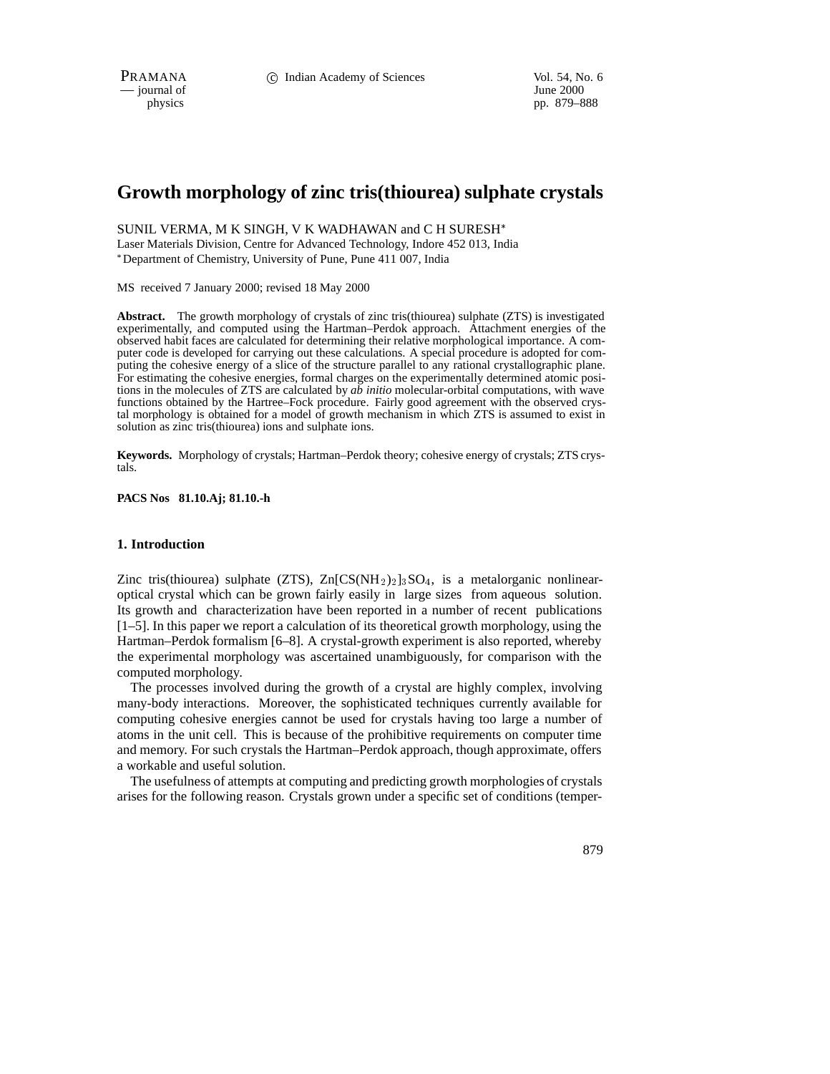PRAMANA 
<sup>c</sup> Indian Academy of Sciences Vol. 54, No. 6<br>
— journal of June 2000

 $-$  journal of

physics pp. 879–888

# **Growth morphology of zinc tris(thiourea) sulphate crystals**

SUNIL VERMA, M K SINGH, V K WADHAWAN and C H SURESH

Laser Materials Division, Centre for Advanced Technology, Indore 452 013, India Department of Chemistry, University of Pune, Pune 411 007, India

MS received 7 January 2000; revised 18 May 2000

**Abstract.** The growth morphology of crystals of zinc tris(thiourea) sulphate (ZTS) is investigated experimentally, and computed using the Hartman–Perdok approach. Attachment energies of the observed habit faces are calculated for determining their relative morphological importance. A computer code is developed for carrying out these calculations. A special procedure is adopted for computing the cohesive energy of a slice of the structure parallel to any rational crystallographic plane. For estimating the cohesive energies, formal charges on the experimentally determined atomic positions in the molecules of ZTS are calculated by *ab initio* molecular-orbital computations, with wave functions obtained by the Hartree–Fock procedure. Fairly good agreement with the observed crystal morphology is obtained for a model of growth mechanism in which ZTS is assumed to exist in solution as zinc tris(thiourea) ions and sulphate ions.

**Keywords.** Morphology of crystals; Hartman–Perdok theory; cohesive energy of crystals; ZTS crystals.

**PACS Nos 81.10.Aj; 81.10.-h**

## **1. Introduction**

Zinc tris(thiourea) sulphate (ZTS),  $\text{Zn}[\text{CS}(NH_2)_2]_3\text{SO}_4$ , is a metalorganic nonlinearoptical crystal which can be grown fairly easily in large sizes from aqueous solution. Its growth and characterization have been reported in a number of recent publications [1–5]. In this paper we report a calculation of its theoretical growth morphology, using the Hartman–Perdok formalism [6–8]. A crystal-growth experiment is also reported, whereby the experimental morphology was ascertained unambiguously, for comparison with the computed morphology.

The processes involved during the growth of a crystal are highly complex, involving many-body interactions. Moreover, the sophisticated techniques currently available for computing cohesive energies cannot be used for crystals having too large a number of atoms in the unit cell. This is because of the prohibitive requirements on computer time and memory. For such crystals the Hartman–Perdok approach, though approximate, offers a workable and useful solution.

The usefulness of attempts at computing and predicting growth morphologies of crystals arises for the following reason. Crystals grown under a specific set of conditions (temper-

879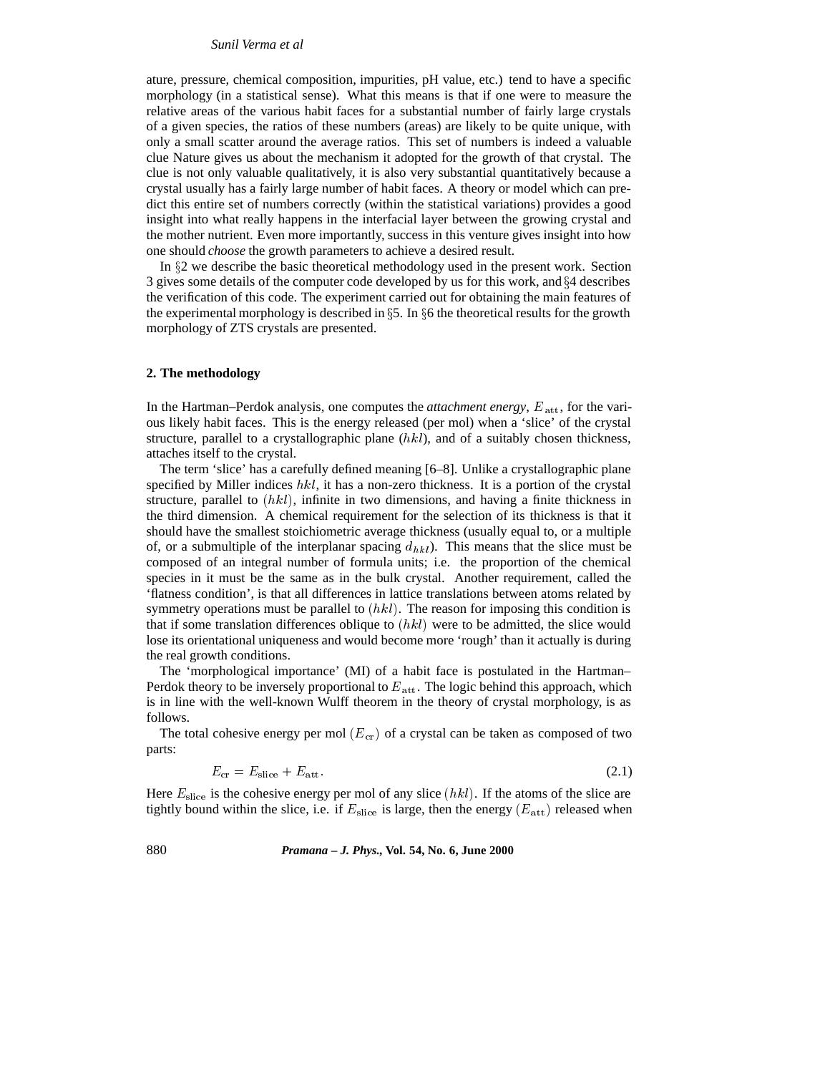### *Sunil Verma et al*

ature, pressure, chemical composition, impurities, pH value, etc.) tend to have a specific morphology (in a statistical sense). What this means is that if one were to measure the relative areas of the various habit faces for a substantial number of fairly large crystals of a given species, the ratios of these numbers (areas) are likely to be quite unique, with only a small scatter around the average ratios. This set of numbers is indeed a valuable clue Nature gives us about the mechanism it adopted for the growth of that crystal. The clue is not only valuable qualitatively, it is also very substantial quantitatively because a crystal usually has a fairly large number of habit faces. A theory or model which can predict this entire set of numbers correctly (within the statistical variations) provides a good insight into what really happens in the interfacial layer between the growing crystal and the mother nutrient. Even more importantly, success in this venture gives insight into how one should *choose* the growth parameters to achieve a desired result.

In  $\S$ 2 we describe the basic theoretical methodology used in the present work. Section 3 gives some details of the computer code developed by us for this work, and  $\S 4$  describes the verification of this code. The experiment carried out for obtaining the main features of the experimental morphology is described in  $\S 5$ . In  $\S 6$  the theoretical results for the growth morphology of ZTS crystals are presented.

## **2. The methodology**

In the Hartman–Perdok analysis, one computes the *attachment energy*,  $E_{\text{att}}$ , for the various likely habit faces. This is the energy released (per mol) when a 'slice' of the crystal structure, parallel to a crystallographic plane  $(hkl)$ , and of a suitably chosen thickness, attaches itself to the crystal.

The term 'slice' has a carefully defined meaning [6–8]. Unlike a crystallographic plane specified by Miller indices  $hkl$ , it has a non-zero thickness. It is a portion of the crystal structure, parallel to  $(hkl)$ , infinite in two dimensions, and having a finite thickness in the third dimension. A chemical requirement for the selection of its thickness is that it should have the smallest stoichiometric average thickness (usually equal to, or a multiple of, or a submultiple of the interplanar spacing  $d_{hk}$ ). This means that the slice must be composed of an integral number of formula units; i.e. the proportion of the chemical species in it must be the same as in the bulk crystal. Another requirement, called the 'flatness condition', is that all differences in lattice translations between atoms related by symmetry operations must be parallel to  $(hkl)$ . The reason for imposing this condition is that if some translation differences oblique to  $(hkl)$  were to be admitted, the slice would lose its orientational uniqueness and would become more 'rough' than it actually is during the real growth conditions.

The 'morphological importance' (MI) of a habit face is postulated in the Hartman– Perdok theory to be inversely proportional to  $E_{\text{att}}$ . The logic behind this approach, which is in line with the well-known Wulff theorem in the theory of crystal morphology, is as follows.

The total cohesive energy per mol  $(E_{cr})$  of a crystal can be taken as composed of two parts:

$$
E_{\rm cr} = E_{\rm slice} + E_{\rm att}.\tag{2.1}
$$

Here  $E_{\text{slice}}$  is the cohesive energy per mol of any slice  $(hkl)$ . If the atoms of the slice are tightly bound within the slice, i.e. if  $E_{\text{slice}}$  is large, then the energy  $(E_{\text{att}})$  released when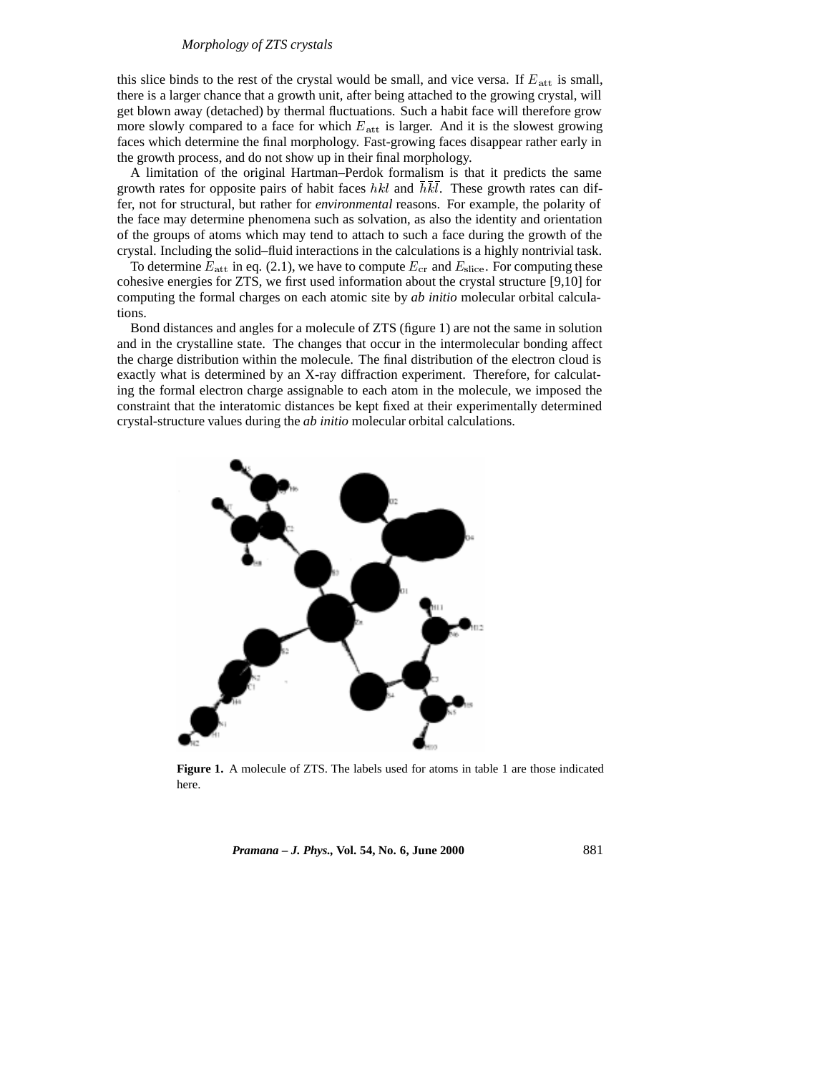## *Morphology of ZTS crystals*

this slice binds to the rest of the crystal would be small, and vice versa. If  $E_{\text{att}}$  is small, there is a larger chance that a growth unit, after being attached to the growing crystal, will get blown away (detached) by thermal fluctuations. Such a habit face will therefore grow more slowly compared to a face for which  $E_{\text{att}}$  is larger. And it is the slowest growing faces which determine the final morphology. Fast-growing faces disappear rather early in the growth process, and do not show up in their final morphology.

A limitation of the original Hartman–Perdok formalism is that it predicts the same growth rates for opposite pairs of habit faces  $hkl$  and  $hkl$ . These growth rates can differ, not for structural, but rather for *environmental* reasons. For example, the polarity of the face may determine phenomena such as solvation, as also the identity and orientation of the groups of atoms which may tend to attach to such a face during the growth of the crystal. Including the solid–fluid interactions in the calculations is a highly nontrivial task.

To determine  $E_{\text{att}}$  in eq. (2.1), we have to compute  $E_{\text{cr}}$  and  $E_{\text{slice}}$ . For computing these cohesive energies for ZTS, we first used information about the crystal structure [9,10] for computing the formal charges on each atomic site by *ab initio* molecular orbital calculations.

Bond distances and angles for a molecule of ZTS (figure 1) are not the same in solution and in the crystalline state. The changes that occur in the intermolecular bonding affect the charge distribution within the molecule. The final distribution of the electron cloud is exactly what is determined by an X-ray diffraction experiment. Therefore, for calculating the formal electron charge assignable to each atom in the molecule, we imposed the constraint that the interatomic distances be kept fixed at their experimentally determined crystal-structure values during the *ab initio* molecular orbital calculations.



**Figure 1.** A molecule of ZTS. The labels used for atoms in table 1 are those indicated here.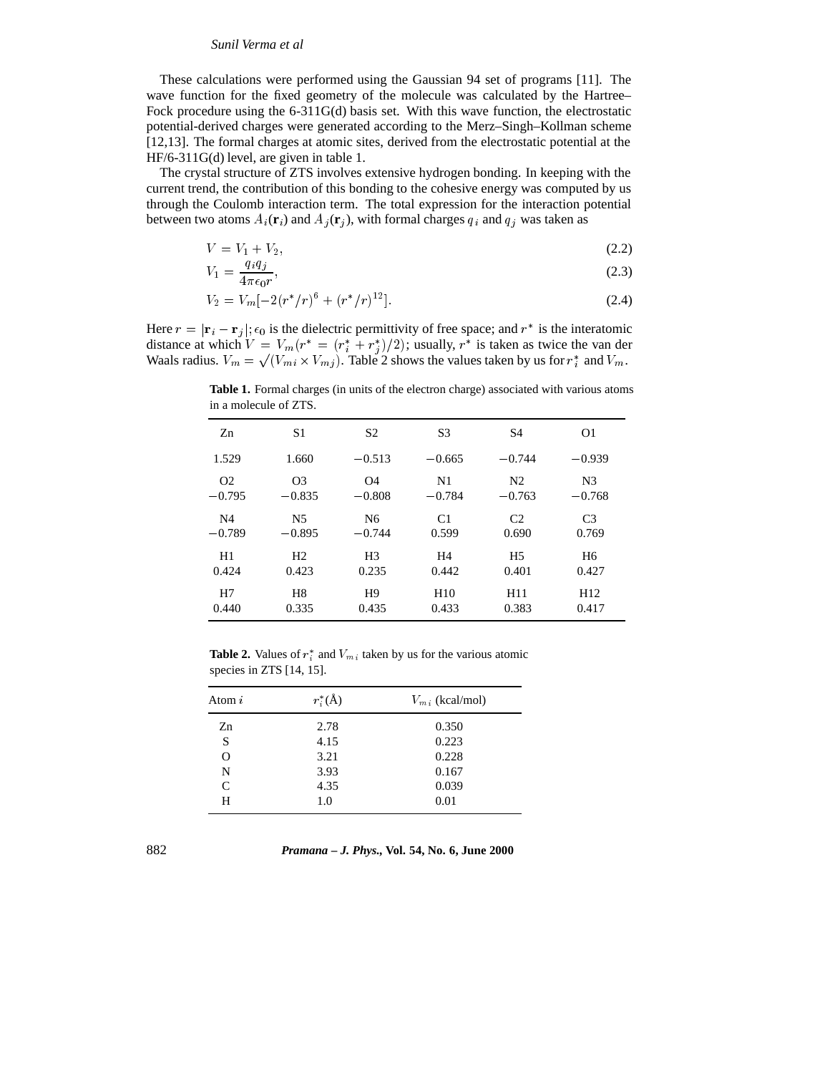## *Sunil Verma et al*

These calculations were performed using the Gaussian 94 set of programs [11]. The wave function for the fixed geometry of the molecule was calculated by the Hartree– Fock procedure using the 6-311G(d) basis set. With this wave function, the electrostatic potential-derived charges were generated according to the Merz–Singh–Kollman scheme [12,13]. The formal charges at atomic sites, derived from the electrostatic potential at the HF/6-311G(d) level, are given in table 1.

The crystal structure of ZTS involves extensive hydrogen bonding. In keeping with the current trend, the contribution of this bonding to the cohesive energy was computed by us through the Coulomb interaction term. The total expression for the interaction potential between two atoms  $A_i(\mathbf{r}_i)$  and  $A_j(\mathbf{r}_j)$ , with formal charges  $q_i$  and  $q_j$  was taken as

$$
V = V_1 + V_2,\tag{2.2}
$$

$$
V_1 = \frac{q_i q_j}{4\pi\epsilon_0 r},\tag{2.3}
$$

$$
V_2 = V_m \left[ -2(r^*/r)^6 + (r^*/r)^{12} \right]. \tag{2.4}
$$

Here  $r = |\mathbf{r}_i - \mathbf{r}_j|$ ;  $\epsilon_0$  is the dielectric permittivity of free space; and  $r^*$  is the interatomic distance at which  $V = V_m(r^* = (r_i^* + r_j^*)/2)$ ; usually,  $r^*$  is taken as twice the van der Waals radius.  $V_m = \sqrt{(V_{mi} \times V_{mj})}$ . Table 2 shows the values taken by us for  $r_i^*$  and  $V_m$ .

Zn S1 S2 S3 S4 O1  $1.529$   $1.660$   $-0.513$   $-0.665$   $-0.744$   $-0.939$ O2 O3 O4 N1 N2 N3  $-0.795$   $-0.835$   $-0.808$   $-0.784$   $-0.763$   $-0.768$ N4 N5 N6 C1 C2 C3  $-0.789$   $-0.895$   $-0.744$   $0.599$   $0.690$   $0.769$ H1 H2 H3 H4 H5 H6 0.424 0.423 0.235 0.442 0.401 0.427 H7 H8 H9 H10 H11 H12 0.440 0.335 0.435 0.433 0.383 0.417

**Table 1.** Formal charges (in units of the electron charge) associated with various atoms in a molecule of ZTS.

**Table 2.** Values of  $r_i^*$  and  $V_{mi}$  taken by us for the various atomic species in ZTS [14, 15].

| Atom $i$ | $r_i^*(\mathring{A})$ | $V_{mi}$ (kcal/mol) |
|----------|-----------------------|---------------------|
| Zn       | 2.78                  | 0.350               |
| S        | 4.15                  | 0.223               |
| O        | 3.21                  | 0.228               |
| N        | 3.93                  | 0.167               |
| C        | 4.35                  | 0.039               |
| H        | 1.0                   | 0.01                |

882 *Pramana – J. Phys.,* **Vol. 54, No. 6, June 2000**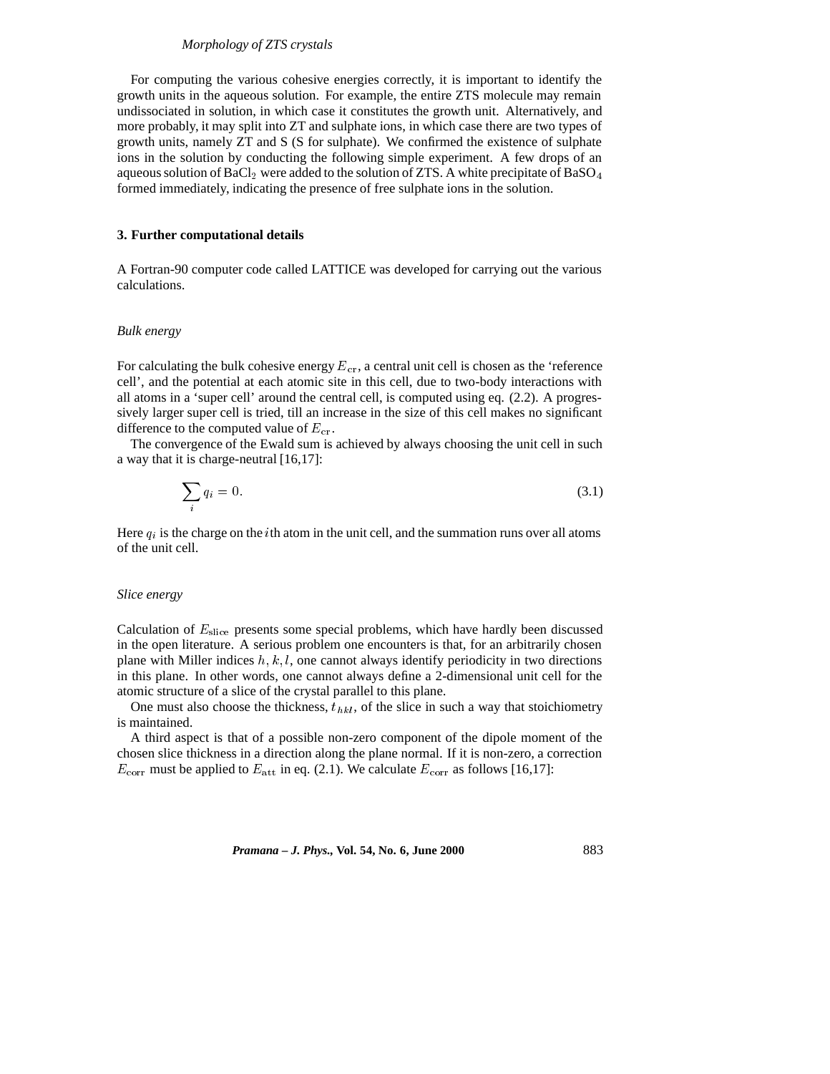## *Morphology of ZTS crystals*

For computing the various cohesive energies correctly, it is important to identify the growth units in the aqueous solution. For example, the entire ZTS molecule may remain undissociated in solution, in which case it constitutes the growth unit. Alternatively, and more probably, it may split into ZT and sulphate ions, in which case there are two types of growth units, namely ZT and S (S for sulphate). We confirmed the existence of sulphate ions in the solution by conducting the following simple experiment. A few drops of an aqueous solution of BaCl<sub>2</sub> were added to the solution of ZTS. A white precipitate of BaSO<sub>4</sub> formed immediately, indicating the presence of free sulphate ions in the solution.

#### **3. Further computational details**

A Fortran-90 computer code called LATTICE was developed for carrying out the various calculations.

#### *Bulk energy*

For calculating the bulk cohesive energy  $E_{cr}$ , a central unit cell is chosen as the 'reference cell', and the potential at each atomic site in this cell, due to two-body interactions with all atoms in a 'super cell' around the central cell, is computed using eq. (2.2). A progressively larger super cell is tried, till an increase in the size of this cell makes no significant difference to the computed value of  $E_{cr}$ .

The convergence of the Ewald sum is achieved by always choosing the unit cell in such a way that it is charge-neutral [16,17]:

$$
\sum_{i} q_i = 0. \tag{3.1}
$$

Here  $q_i$  is the charge on the *i*th atom in the unit cell, and the summation runs over all atoms of the unit cell.

# *Slice energy*

Calculation of  $E_{\text{slice}}$  presents some special problems, which have hardly been discussed in the open literature. A serious problem one encounters is that, for an arbitrarily chosen plane with Miller indices  $h, k, l$ , one cannot always identify periodicity in two directions in this plane. In other words, one cannot always define a 2-dimensional unit cell for the atomic structure of a slice of the crystal parallel to this plane.

One must also choose the thickness,  $t_{hkl}$ , of the slice in such a way that stoichiometry is maintained.

A third aspect is that of a possible non-zero component of the dipole moment of the chosen slice thickness in a direction along the plane normal. If it is non-zero, a correction  $E_{\text{corr}}$  must be applied to  $E_{\text{att}}$  in eq. (2.1). We calculate  $E_{\text{corr}}$  as follows [16,17]: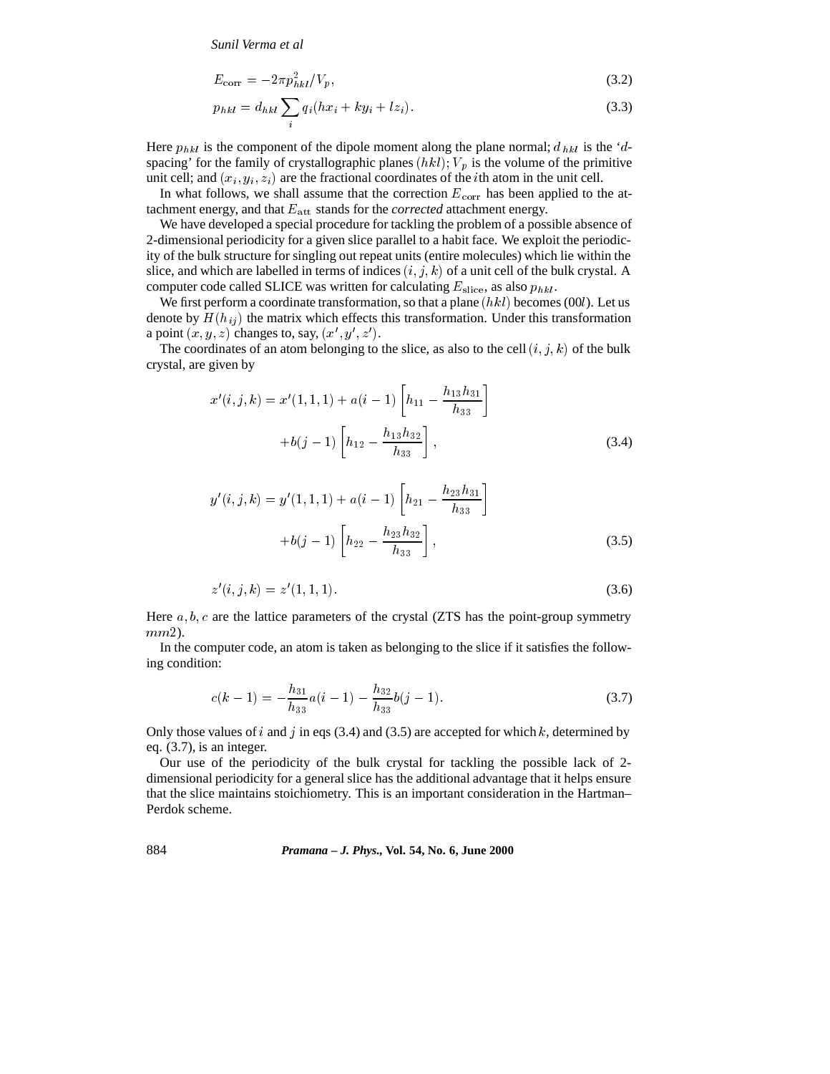*Sunil Verma et al*

$$
E_{\text{corr}} = -2\pi p_{hkl}^2 / V_p,\tag{3.2}
$$

$$
p_{hkl} = d_{hkl} \sum_{i} q_i (hx_i + ky_i + lz_i). \tag{3.3}
$$

Here  $p_{hkl}$  is the component of the dipole moment along the plane normal;  $d_{hkl}$  is the 'dspacing' for the family of crystallographic planes  $(hkl)$ ;  $V_p$  is the volume of the primitive unit cell; and  $(x_i, y_i, z_i)$  are the fractional coordinates of the *i*th atom in the unit cell.

In what follows, we shall assume that the correction  $E_{\text{corr}}$  has been applied to the attachment energy, and that  $E_{\text{att}}$  stands for the *corrected* attachment energy.

We have developed a special procedure for tackling the problem of a possible absence of 2-dimensional periodicity for a given slice parallel to a habit face. We exploit the periodicity of the bulk structure for singling out repeat units (entire molecules) which lie within the slice, and which are labelled in terms of indices  $(i, j, k)$  of a unit cell of the bulk crystal. A computer code called SLICE was written for calculating  $E_{\text{slice}}$ , as also  $p_{hkl}$ .

We first perform a coordinate transformation, so that a plane  $(hkl)$  becomes (00l). Let us denote by  $H(h_{ij})$  the matrix which effects this transformation. Under this transformation a point  $(x, y, z)$  changes to, say,  $(x', y', z')$ .

The coordinates of an atom belonging to the slice, as also to the cell  $(i, j, k)$  of the bulk crystal, are given by

$$
x'(i,j,k) = x'(1,1,1) + a(i-1) \left[ h_{11} - \frac{h_{13}h_{31}}{h_{33}} \right]
$$

$$
+ b(j-1) \left[ h_{12} - \frac{h_{13}h_{32}}{h_{33}} \right],
$$
(3.4)

$$
y'(i, j, k) = y'(1, 1, 1) + a(i - 1) \left[ h_{21} - \frac{h_{23}h_{31}}{h_{33}} \right]
$$

$$
+ b(j - 1) \left[ h_{22} - \frac{h_{23}h_{32}}{h_{33}} \right],
$$
(3.5)

$$
z'(i, j, k) = z'(1, 1, 1).
$$
\n(3.6)

Here  $a, b, c$  are the lattice parameters of the crystal (ZTS has the point-group symmetry mm2).

In the computer code, an atom is taken as belonging to the slice if it satisfies the following condition:

$$
c(k-1) = -\frac{h_{31}}{h_{33}}a(i-1) - \frac{h_{32}}{h_{33}}b(j-1).
$$
 (3.7)

Only those values of i and j in eqs (3.4) and (3.5) are accepted for which  $k$ , determined by eq. (3.7), is an integer.

Our use of the periodicity of the bulk crystal for tackling the possible lack of 2 dimensional periodicity for a general slice has the additional advantage that it helps ensure that the slice maintains stoichiometry. This is an important consideration in the Hartman– Perdok scheme.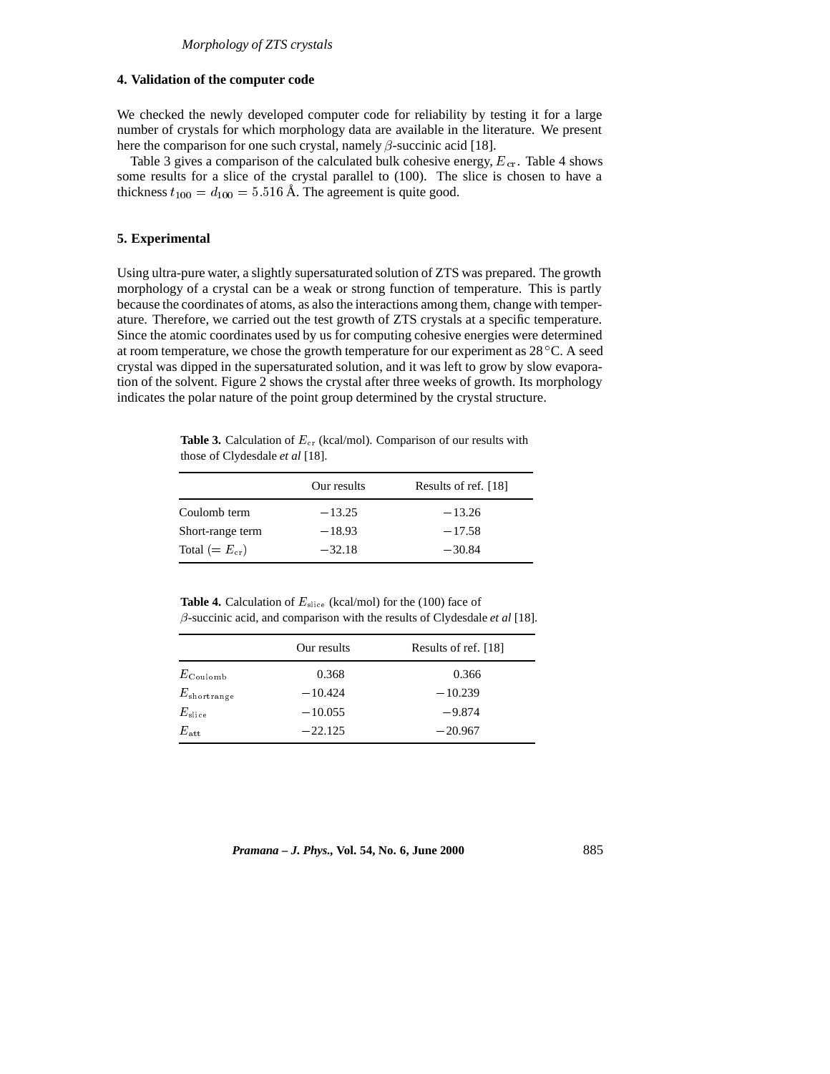# **4. Validation of the computer code**

We checked the newly developed computer code for reliability by testing it for a large number of crystals for which morphology data are available in the literature. We present here the comparison for one such crystal, namely  $\beta$ -succinic acid [18].

Table 3 gives a comparison of the calculated bulk cohesive energy,  $E_{cr}$ . Table 4 shows some results for a slice of the crystal parallel to (100). The slice is chosen to have a thickness  $t_{100} = d_{100} = 5.516$  Å. The agreement is quite good.

## **5. Experimental**

Using ultra-pure water, a slightly supersaturated solution of ZTS was prepared. The growth morphology of a crystal can be a weak or strong function of temperature. This is partly because the coordinates of atoms, as also the interactions among them, change with temperature. Therefore, we carried out the test growth of ZTS crystals at a specific temperature. Since the atomic coordinates used by us for computing cohesive energies were determined at room temperature, we chose the growth temperature for our experiment as  $28^{\circ}$ C. A seed crystal was dipped in the supersaturated solution, and it was left to grow by slow evaporation of the solvent. Figure 2 shows the crystal after three weeks of growth. Its morphology indicates the polar nature of the point group determined by the crystal structure.

**Table 3.** Calculation of  $E_{cr}$  (kcal/mol). Comparison of our results with those of Clydesdale *et al* [18].

|                   | Our results | Results of ref. [18] |
|-------------------|-------------|----------------------|
| Coulomb term      | $-13.25$    | $-13.26$             |
| Short-range term  | $-18.93$    | $-17.58$             |
| Total $(=E_{cr})$ | $-32.18$    | $-30.84$             |

Table 4. Calculation of  $E_{\text{slice}}$  (kcal/mol) for the (100) face of  $\beta$ -succinic acid, and comparison with the results of Clydesdale *et al* [18].

|                       | Our results | Results of ref. [18] |
|-----------------------|-------------|----------------------|
| $E_{\rm Coulomb}$     | 0.368       | 0.366                |
| $E_{\rm short range}$ | $-10.424$   | $-10.239$            |
| $E_{\rm slice}$       | $-10.055$   | $-9.874$             |
| $E_{\mathrm{att}}$    | $-22.125$   | $-20.967$            |

*Pramana – J. Phys.,* **Vol. 54, No. 6, June 2000** 885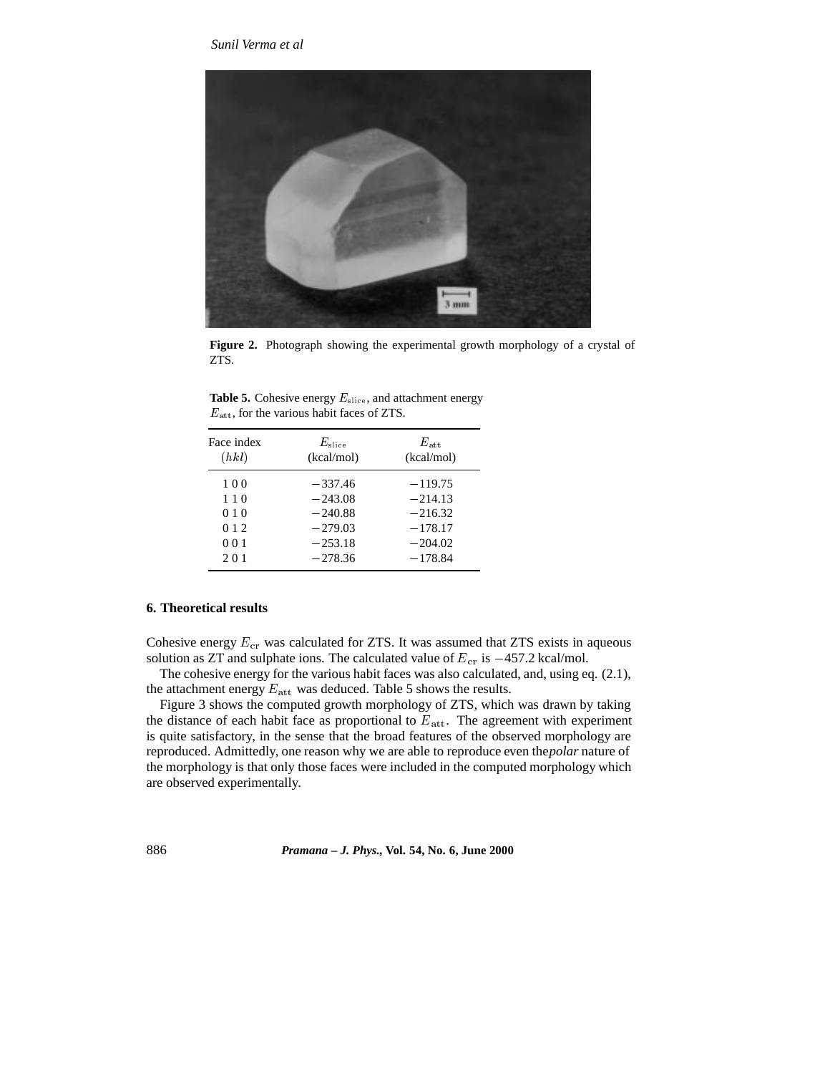

**Figure 2.** Photograph showing the experimental growth morphology of a crystal of ZTS.

**Table 5.** Cohesive energy  $E_{\text{slice}}$ , and attachment energy  $E_{\mathrm{att}},$  for the various habit faces of ZTS.

| Face index | $E_{\rm slice}$ | $E_{\rm att}$ |
|------------|-----------------|---------------|
| (hkl)      | (kcal/mol)      | (kcal/mol)    |
| 100        | $-337.46$       | $-119.75$     |
| 110        | $-243.08$       | $-214.13$     |
| 010        | $-240.88$       | $-216.32$     |
| 0 1 2      | $-279.03$       | $-178.17$     |
| 001        | $-253.18$       | $-204.02$     |
| 201        | $-278.36$       | $-178.84$     |

## **6. Theoretical results**

Cohesive energy  $E_{cr}$  was calculated for ZTS. It was assumed that ZTS exists in aqueous solution as ZT and sulphate ions. The calculated value of  $E_{cr}$  is  $-457.2$  kcal/mol.

The cohesive energy for the various habit faces was also calculated, and, using eq. (2.1), the attachment energy  $E_{\text{att}}$  was deduced. Table 5 shows the results.

Figure 3 shows the computed growth morphology of ZTS, which was drawn by taking the distance of each habit face as proportional to  $E_{\text{att}}$ . The agreement with experiment is quite satisfactory, in the sense that the broad features of the observed morphology are reproduced. Admittedly, one reason why we are able to reproduce even the*polar* nature of the morphology is that only those faces were included in the computed morphology which are observed experimentally.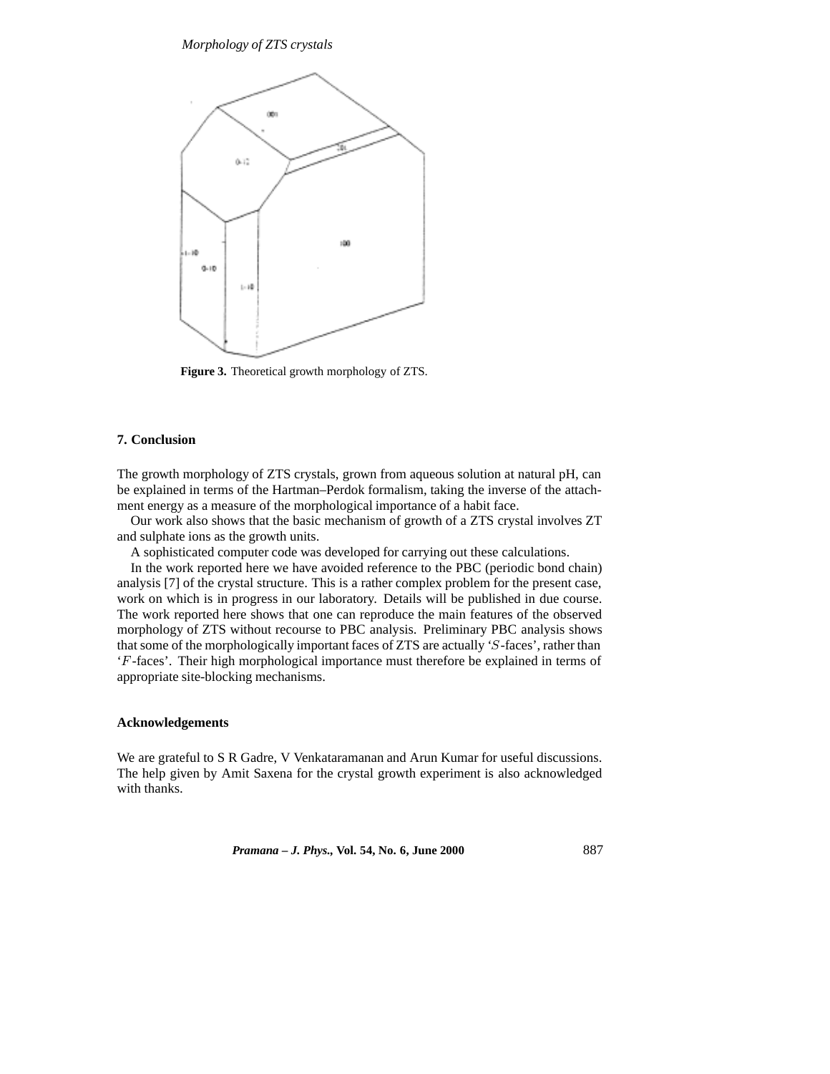*Morphology of ZTS crystals*



**Figure 3.** Theoretical growth morphology of ZTS.

## **7. Conclusion**

The growth morphology of ZTS crystals, grown from aqueous solution at natural pH, can be explained in terms of the Hartman–Perdok formalism, taking the inverse of the attachment energy as a measure of the morphological importance of a habit face.

Our work also shows that the basic mechanism of growth of a ZTS crystal involves ZT and sulphate ions as the growth units.

A sophisticated computer code was developed for carrying out these calculations.

In the work reported here we have avoided reference to the PBC (periodic bond chain) analysis [7] of the crystal structure. This is a rather complex problem for the present case, work on which is in progress in our laboratory. Details will be published in due course. The work reported here shows that one can reproduce the main features of the observed morphology of ZTS without recourse to PBC analysis. Preliminary PBC analysis shows that some of the morphologically important faces of ZTS are actually 'S-faces', rather than 'F -faces'. Their high morphological importance must therefore be explained in terms of appropriate site-blocking mechanisms.

## **Acknowledgements**

We are grateful to S R Gadre, V Venkataramanan and Arun Kumar for useful discussions. The help given by Amit Saxena for the crystal growth experiment is also acknowledged with thanks.

*Pramana – J. Phys.,* **Vol. 54, No. 6, June 2000** 887